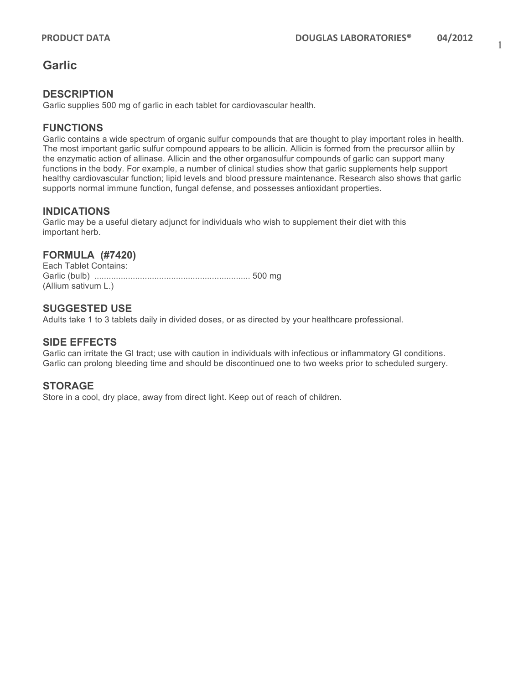# **Garlic**

# **DESCRIPTION**

Garlic supplies 500 mg of garlic in each tablet for cardiovascular health.

# **FUNCTIONS**

Garlic contains a wide spectrum of organic sulfur compounds that are thought to play important roles in health. The most important garlic sulfur compound appears to be allicin. Allicin is formed from the precursor alliin by the enzymatic action of allinase. Allicin and the other organosulfur compounds of garlic can support many functions in the body. For example, a number of clinical studies show that garlic supplements help support healthy cardiovascular function; lipid levels and blood pressure maintenance. Research also shows that garlic supports normal immune function, fungal defense, and possesses antioxidant properties.

# **INDICATIONS**

Garlic may be a useful dietary adjunct for individuals who wish to supplement their diet with this important herb.

# **FORMULA (#7420)**

Each Tablet Contains: Garlic (bulb) ................................................................. 500 mg (Allium sativum L.)

# **SUGGESTED USE**

Adults take 1 to 3 tablets daily in divided doses, or as directed by your healthcare professional.

#### **SIDE EFFECTS**

Garlic can irritate the GI tract; use with caution in individuals with infectious or inflammatory GI conditions. Garlic can prolong bleeding time and should be discontinued one to two weeks prior to scheduled surgery.

#### **STORAGE**

Store in a cool, dry place, away from direct light. Keep out of reach of children.

1